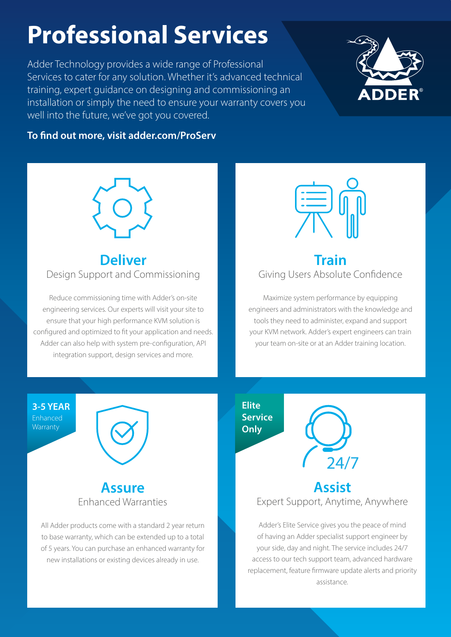# **Professional Services**

Adder Technology provides a wide range of Professional Services to cater for any solution. Whether it's advanced technical training, expert guidance on designing and commissioning an installation or simply the need to ensure your warranty covers you well into the future, we've got you covered.



#### **To find out more, visit adder.com/ProServ**



### **Deliver** Design Support and Commissioning

Reduce commissioning time with Adder's on-site engineering services. Our experts will visit your site to ensure that your high performance KVM solution is configured and optimized to fit your application and needs. Adder can also help with system pre-configuration, API integration support, design services and more.



### **Train** Giving Users Absolute Confidence

Maximize system performance by equipping engineers and administrators with the knowledge and tools they need to administer, expand and support your KVM network. Adder's expert engineers can train your team on-site or at an Adder training location.

**3-5 YEAR** Enhanced **Warranty** 





All Adder products come with a standard 2 year return to base warranty, which can be extended up to a total of 5 years. You can purchase an enhanced warranty for new installations or existing devices already in use.

**Elite Service Only**



## **Assist** Expert Support, Anytime, Anywhere

Adder's Elite Service gives you the peace of mind of having an Adder specialist support engineer by your side, day and night. The service includes 24/7 access to our tech support team, advanced hardware replacement, feature firmware update alerts and priority assistance.